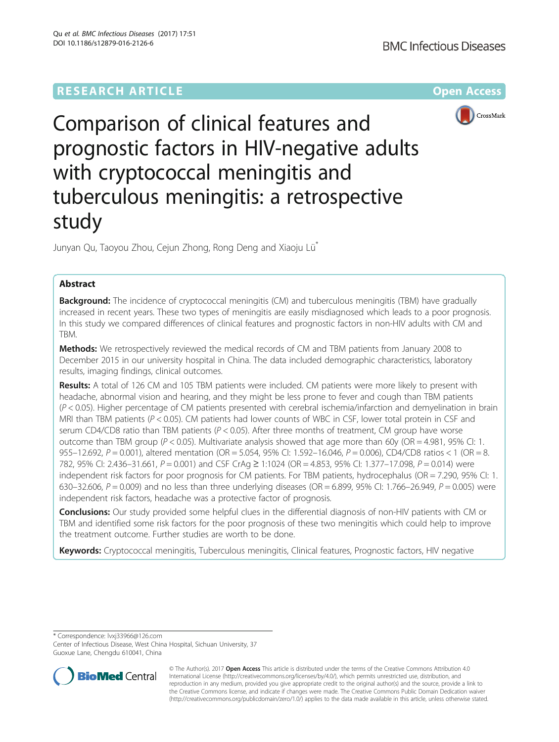## **RESEARCH ARTICLE Example 2014 12:30 The Community Community Community Community Community Community Community**



# Comparison of clinical features and prognostic factors in HIV-negative adults with cryptococcal meningitis and tuberculous meningitis: a retrospective study

Junyan Qu, Taoyou Zhou, Cejun Zhong, Rong Deng and Xiaoju Lü\*

## Abstract

**Background:** The incidence of cryptococcal meningitis (CM) and tuberculous meningitis (TBM) have gradually increased in recent years. These two types of meningitis are easily misdiagnosed which leads to a poor prognosis. In this study we compared differences of clinical features and prognostic factors in non-HIV adults with CM and **TRM** 

Methods: We retrospectively reviewed the medical records of CM and TBM patients from January 2008 to December 2015 in our university hospital in China. The data included demographic characteristics, laboratory results, imaging findings, clinical outcomes.

Results: A total of 126 CM and 105 TBM patients were included. CM patients were more likely to present with headache, abnormal vision and hearing, and they might be less prone to fever and cough than TBM patients (P < 0.05). Higher percentage of CM patients presented with cerebral ischemia/infarction and demyelination in brain MRI than TBM patients (P < 0.05). CM patients had lower counts of WBC in CSF, lower total protein in CSF and serum CD4/CD8 ratio than TBM patients ( $P < 0.05$ ). After three months of treatment, CM group have worse outcome than TBM group ( $P < 0.05$ ). Multivariate analysis showed that age more than 60y (OR = 4.981, 95% CI: 1. 955–12.692, P = 0.001), altered mentation (OR = 5.054, 95% CI: 1.592–16.046, P = 0.006), CD4/CD8 ratios < 1 (OR = 8. 782, 95% CI: 2.436–31.661, P = 0.001) and CSF CrAg ≥ 1:1024 (OR = 4.853, 95% CI: 1.377–17.098, P = 0.014) were independent risk factors for poor prognosis for CM patients. For TBM patients, hydrocephalus (OR = 7.290, 95% CI: 1. 630–32.606, P = 0.009) and no less than three underlying diseases (OR = 6.899, 95% CI: 1.766–26.949, P = 0.005) were independent risk factors, headache was a protective factor of prognosis.

Conclusions: Our study provided some helpful clues in the differential diagnosis of non-HIV patients with CM or TBM and identified some risk factors for the poor prognosis of these two meningitis which could help to improve the treatment outcome. Further studies are worth to be done.

Keywords: Cryptococcal meningitis, Tuberculous meningitis, Clinical features, Prognostic factors, HIV negative

\* Correspondence: [lvxj33966@126.com](mailto:lvxj33966@126.com)

Center of Infectious Disease, West China Hospital, Sichuan University, 37 Guoxue Lane, Chengdu 610041, China



© The Author(s). 2017 **Open Access** This article is distributed under the terms of the Creative Commons Attribution 4.0 International License [\(http://creativecommons.org/licenses/by/4.0/](http://creativecommons.org/licenses/by/4.0/)), which permits unrestricted use, distribution, and reproduction in any medium, provided you give appropriate credit to the original author(s) and the source, provide a link to the Creative Commons license, and indicate if changes were made. The Creative Commons Public Domain Dedication waiver [\(http://creativecommons.org/publicdomain/zero/1.0/](http://creativecommons.org/publicdomain/zero/1.0/)) applies to the data made available in this article, unless otherwise stated.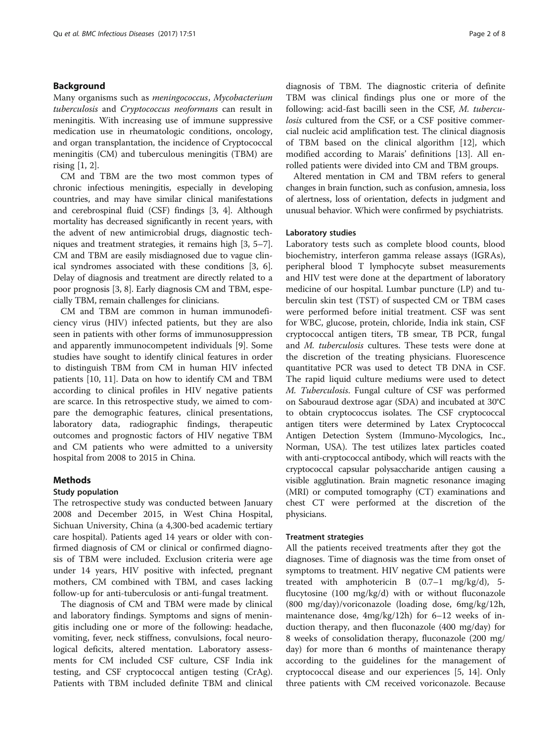## Background

Many organisms such as meningococcus, Mycobacterium tuberculosis and Cryptococcus neoformans can result in meningitis. With increasing use of immune suppressive medication use in rheumatologic conditions, oncology, and organ transplantation, the incidence of Cryptococcal meningitis (CM) and tuberculous meningitis (TBM) are rising [\[1](#page-6-0), [2](#page-6-0)].

CM and TBM are the two most common types of chronic infectious meningitis, especially in developing countries, and may have similar clinical manifestations and cerebrospinal fluid (CSF) findings [[3, 4\]](#page-7-0). Although mortality has decreased significantly in recent years, with the advent of new antimicrobial drugs, diagnostic techniques and treatment strategies, it remains high [\[3](#page-7-0), [5](#page-7-0)–[7](#page-7-0)]. CM and TBM are easily misdiagnosed due to vague clinical syndromes associated with these conditions [\[3](#page-7-0), [6](#page-7-0)]. Delay of diagnosis and treatment are directly related to a poor prognosis [[3, 8](#page-7-0)]. Early diagnosis CM and TBM, especially TBM, remain challenges for clinicians.

CM and TBM are common in human immunodeficiency virus (HIV) infected patients, but they are also seen in patients with other forms of immunosuppression and apparently immunocompetent individuals [\[9\]](#page-7-0). Some studies have sought to identify clinical features in order to distinguish TBM from CM in human HIV infected patients [\[10](#page-7-0), [11\]](#page-7-0). Data on how to identify CM and TBM according to clinical profiles in HIV negative patients are scarce. In this retrospective study, we aimed to compare the demographic features, clinical presentations, laboratory data, radiographic findings, therapeutic outcomes and prognostic factors of HIV negative TBM and CM patients who were admitted to a university hospital from 2008 to 2015 in China.

#### Methods

#### Study population

The retrospective study was conducted between January 2008 and December 2015, in West China Hospital, Sichuan University, China (a 4,300-bed academic tertiary care hospital). Patients aged 14 years or older with confirmed diagnosis of CM or clinical or confirmed diagnosis of TBM were included. Exclusion criteria were age under 14 years, HIV positive with infected, pregnant mothers, CM combined with TBM, and cases lacking follow-up for anti-tuberculosis or anti-fungal treatment.

The diagnosis of CM and TBM were made by clinical and laboratory findings. Symptoms and signs of meningitis including one or more of the following: headache, vomiting, fever, neck stiffness, convulsions, focal neurological deficits, altered mentation. Laboratory assessments for CM included CSF culture, CSF India ink testing, and CSF cryptococcal antigen testing (CrAg). Patients with TBM included definite TBM and clinical

diagnosis of TBM. The diagnostic criteria of definite TBM was clinical findings plus one or more of the following: acid-fast bacilli seen in the CSF, M. tuberculosis cultured from the CSF, or a CSF positive commercial nucleic acid amplification test. The clinical diagnosis of TBM based on the clinical algorithm [\[12\]](#page-7-0), which modified according to Marais' definitions [[13](#page-7-0)]. All enrolled patients were divided into CM and TBM groups.

Altered mentation in CM and TBM refers to general changes in brain function, such as confusion, amnesia, loss of alertness, loss of orientation, defects in judgment and unusual behavior. Which were confirmed by psychiatrists.

#### Laboratory studies

Laboratory tests such as complete blood counts, blood biochemistry, interferon gamma release assays (IGRAs), peripheral blood T lymphocyte subset measurements and HIV test were done at the department of laboratory medicine of our hospital. Lumbar puncture (LP) and tuberculin skin test (TST) of suspected CM or TBM cases were performed before initial treatment. CSF was sent for WBC, glucose, protein, chloride, India ink stain, CSF cryptococcal antigen titers, TB smear, TB PCR, fungal and *M. tuberculosis* cultures. These tests were done at the discretion of the treating physicians. Fluorescence quantitative PCR was used to detect TB DNA in CSF. The rapid liquid culture mediums were used to detect M. Tuberculosis. Fungal culture of CSF was performed on Sabouraud dextrose agar (SDA) and incubated at 30°C to obtain cryptococcus isolates. The CSF cryptococcal antigen titers were determined by Latex Cryptococcal Antigen Detection System (Immuno-Mycologics, Inc., Norman, USA). The test utilizes latex particles coated with anti-cryptococcal antibody, which will reacts with the cryptococcal capsular polysaccharide antigen causing a visible agglutination. Brain magnetic resonance imaging (MRI) or computed tomography (CT) examinations and chest CT were performed at the discretion of the physicians.

#### Treatment strategies

All the patients received treatments after they got the diagnoses. Time of diagnosis was the time from onset of symptoms to treatment. HIV negative CM patients were treated with amphotericin B (0.7–1 mg/kg/d), 5 flucytosine (100 mg/kg/d) with or without fluconazole (800 mg/day)/voriconazole (loading dose, 6mg/kg/12h, maintenance dose, 4mg/kg/12h) for 6–12 weeks of induction therapy, and then fluconazole (400 mg/day) for 8 weeks of consolidation therapy, fluconazole (200 mg/ day) for more than 6 months of maintenance therapy according to the guidelines for the management of cryptococcal disease and our experiences [\[5](#page-7-0), [14\]](#page-7-0). Only three patients with CM received voriconazole. Because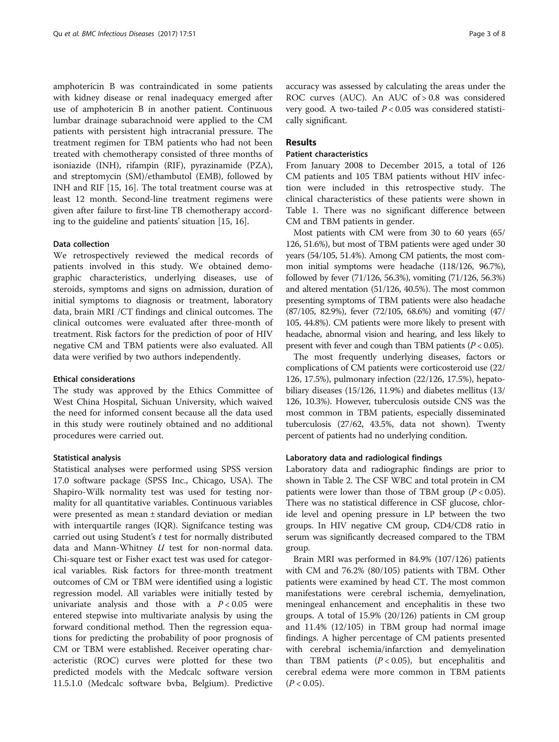amphotericin B was contraindicated in some patients with kidney disease or renal inadequacy emerged after use of amphotericin B in another patient. Continuous lumbar drainage subarachnoid were applied to the CM patients with persistent high intracranial pressure. The treatment regimen for TBM patients who had not been treated with chemotherapy consisted of three months of isoniazide (INH), rifampin (RIF), pyrazinamide (PZA), and streptomycin (SM)/ethambutol (EMB), followed by INH and RIF [\[15, 16](#page-7-0)]. The total treatment course was at least 12 month. Second-line treatment regimens were given after failure to first-line TB chemotherapy according to the guideline and patients' situation [\[15](#page-7-0), [16](#page-7-0)].

#### Data collection

We retrospectively reviewed the medical records of patients involved in this study. We obtained demographic characteristics, underlying diseases, use of steroids, symptoms and signs on admission, duration of initial symptoms to diagnosis or treatment, laboratory data, brain MRI /CT findings and clinical outcomes. The clinical outcomes were evaluated after three-month of treatment. Risk factors for the prediction of poor of HIV negative CM and TBM patients were also evaluated. All data were verified by two authors independently.

#### Ethical considerations

The study was approved by the Ethics Committee of West China Hospital, Sichuan University, which waived the need for informed consent because all the data used in this study were routinely obtained and no additional procedures were carried out.

#### Statistical analysis

Statistical analyses were performed using SPSS version 17.0 software package (SPSS Inc., Chicago, USA). The Shapiro-Wilk normality test was used for testing normality for all quantitative variables. Continuous variables were presented as mean ± standard deviation or median with interquartile ranges (IQR). Signifcance testing was carried out using Student'<sup>s</sup> t test for normally distributed data and Mann-Whitney U test for non-normal data. Chi-square test or Fisher exact test was used for categorical variables. Risk factors for three-month treatment outcomes of CM or TBM were identified using a logistic regression model. All variables were initially tested by univariate analysis and those with a  $P < 0.05$  were entered stepwise into multivariate analysis by using the forward conditional method. Then the regression equations for predicting the probability of poor prognosis of CM or TBM were established. Receiver operating characteristic (ROC) curves were plotted for these two predicted models with the Medcalc software version 11.5.1.0 (Medcalc software bvba, Belgium). Predictive accuracy was assessed by calculating the areas under the ROC curves (AUC). An AUC of > 0.8 was considered very good. A two-tailed  $P < 0.05$  was considered statistically significant.

## Results

## Patient characteristics

From January 2008 to December 2015, a total of 126 CM patients and 105 TBM patients without HIV infection were included in this retrospective study. The clinical characteristics of these patients were shown in Table [1](#page-3-0). There was no significant difference between CM and TBM patients in gender.

Most patients with CM were from 30 to 60 years (65/ 126, 51.6%), but most of TBM patients were aged under 30 years (54/105, 51.4%). Among CM patients, the most common initial symptoms were headache (118/126, 96.7%), followed by fever (71/126, 56.3%), vomiting (71/126, 56.3%) and altered mentation (51/126, 40.5%). The most common presenting symptoms of TBM patients were also headache (87/105, 82.9%), fever (72/105, 68.6%) and vomiting (47/ 105, 44.8%). CM patients were more likely to present with headache, abnormal vision and hearing, and less likely to present with fever and cough than TBM patients  $(P < 0.05)$ .

The most frequently underlying diseases, factors or complications of CM patients were corticosteroid use (22/ 126, 17.5%), pulmonary infection (22/126, 17.5%), hepatobiliary diseases (15/126, 11.9%) and diabetes mellitus (13/ 126, 10.3%). However, tuberculosis outside CNS was the most common in TBM patients, especially disseminated tuberculosis (27/62, 43.5%, data not shown). Twenty percent of patients had no underlying condition.

#### Laboratory data and radiological findings

Laboratory data and radiographic findings are prior to shown in Table [2.](#page-4-0) The CSF WBC and total protein in CM patients were lower than those of TBM group  $(P < 0.05)$ . There was no statistical difference in CSF glucose, chloride level and opening pressure in LP between the two groups. In HIV negative CM group, CD4/CD8 ratio in serum was significantly decreased compared to the TBM group.

Brain MRI was performed in 84.9% (107/126) patients with CM and 76.2% (80/105) patients with TBM. Other patients were examined by head CT. The most common manifestations were cerebral ischemia, demyelination, meningeal enhancement and encephalitis in these two groups. A total of 15.9% (20/126) patients in CM group and 11.4% (12/105) in TBM group had normal image findings. A higher percentage of CM patients presented with cerebral ischemia/infarction and demyelination than TBM patients  $(P < 0.05)$ , but encephalitis and cerebral edema were more common in TBM patients  $(P < 0.05)$ .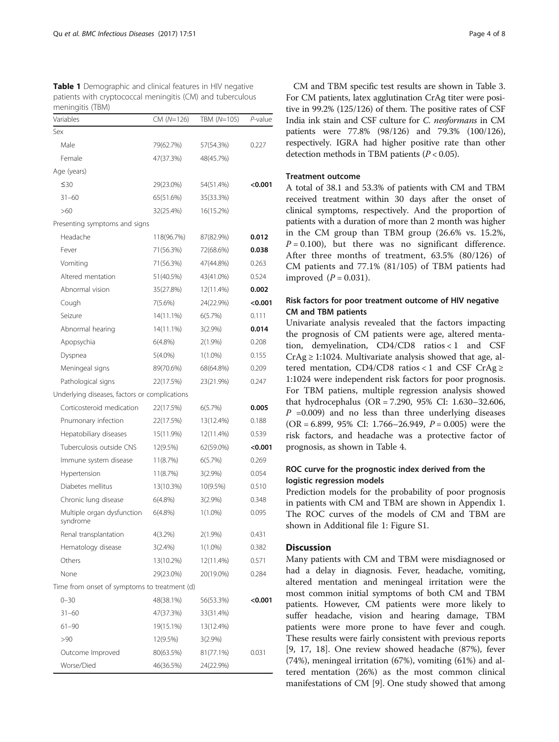<span id="page-3-0"></span>

| Table 1 Demographic and clinical features in HIV negative  |
|------------------------------------------------------------|
| patients with cryptococcal meningitis (CM) and tuberculous |
| meningitis (TBM)                                           |

| Variables                                     | CM (N=126) | TBM (N=105) | P-value |  |
|-----------------------------------------------|------------|-------------|---------|--|
| Sex                                           |            |             |         |  |
| Male                                          | 79(62.7%)  | 57(54.3%)   | 0.227   |  |
| Female                                        | 47(37.3%)  | 48(45.7%)   |         |  |
| Age (years)                                   |            |             |         |  |
| ≤30                                           | 29(23.0%)  | 54(51.4%)   | <0.001  |  |
| $31 - 60$                                     | 65(51.6%)  | 35(33.3%)   |         |  |
| >60                                           | 32(25.4%)  | 16(15.2%)   |         |  |
| Presenting symptoms and signs                 |            |             |         |  |
| Headache                                      | 118(96.7%) | 87(82.9%)   | 0.012   |  |
| Fever                                         | 71(56.3%)  | 72(68.6%)   | 0.038   |  |
| Vomiting                                      | 71(56.3%)  | 47(44.8%)   | 0.263   |  |
| Altered mentation                             | 51(40.5%)  | 43(41.0%)   | 0.524   |  |
| Abnormal vision                               | 35(27.8%)  | 12(11.4%)   | 0.002   |  |
| Cough                                         | $7(5.6\%)$ | 24(22.9%)   | <0.001  |  |
| Seizure                                       | 14(11.1%)  | 6(5.7%)     | 0.111   |  |
| Abnormal hearing                              | 14(11.1%)  | $3(2.9\%)$  | 0.014   |  |
| Apopsychia                                    | $6(4.8\%)$ | 2(1.9%)     | 0.208   |  |
| Dyspnea                                       | 5(4.0%)    | $1(1.0\%)$  | 0.155   |  |
| Meningeal signs                               | 89(70.6%)  | 68(64.8%)   | 0.209   |  |
| Pathological signs                            | 22(17.5%)  | 23(21.9%)   | 0.247   |  |
| Underlying diseases, factors or complications |            |             |         |  |
| Corticosteroid medication                     | 22(17.5%)  | 6(5.7%)     | 0.005   |  |
| Pnumonary infection                           | 22(17.5%)  | 13(12.4%)   | 0.188   |  |
| Hepatobiliary diseases                        | 15(11.9%)  | 12(11.4%)   | 0.539   |  |
| Tuberculosis outside CNS                      | 12(9.5%)   | 62(59.0%)   | <0.001  |  |
| Immune system disease                         | 11(8.7%)   | 6(5.7%)     | 0.269   |  |
| Hypertension                                  | 11(8.7%)   | 3(2.9%)     | 0.054   |  |
| Diabetes mellitus                             | 13(10.3%)  | 10(9.5%)    | 0.510   |  |
| Chronic lung disease                          | 6(4.8%)    | 3(2.9%)     | 0.348   |  |
| Multiple organ dysfunction<br>syndrome        | $6(4.8\%)$ | $1(1.0\%)$  | 0.095   |  |
| Renal transplantation                         | $4(3.2\%)$ | 2(1.9%)     | 0.431   |  |
| Hematology disease                            | $3(2.4\%)$ | $1(1.0\%)$  | 0.382   |  |
| Others                                        | 13(10.2%)  | 12(11.4%)   | 0.571   |  |
| None                                          | 29(23.0%)  | 20(19.0%)   | 0.284   |  |
| Time from onset of symptoms to treatment (d)  |            |             |         |  |
| $0 - 30$                                      | 48(38.1%)  | 56(53.3%)   | <0.001  |  |
| $31 - 60$                                     | 47(37.3%)  | 33(31.4%)   |         |  |
| $61 - 90$                                     | 19(15.1%)  | 13(12.4%)   |         |  |
| >90                                           | 12(9.5%)   | 3(2.9%)     |         |  |
| Outcome Improved                              | 80(63.5%)  | 81(77.1%)   | 0.031   |  |
| Worse/Died                                    | 46(36.5%)  | 24(22.9%)   |         |  |

CM and TBM specific test results are shown in Table [3](#page-4-0). For CM patients, latex agglutination CrAg titer were positive in 99.2% (125/126) of them. The positive rates of CSF India ink stain and CSF culture for C. neoformans in CM patients were 77.8% (98/126) and 79.3% (100/126), respectively. IGRA had higher positive rate than other detection methods in TBM patients  $(P < 0.05)$ .

## Treatment outcome

A total of 38.1 and 53.3% of patients with CM and TBM received treatment within 30 days after the onset of clinical symptoms, respectively. And the proportion of patients with a duration of more than 2 month was higher in the CM group than TBM group (26.6% vs. 15.2%,  $P = 0.100$ ), but there was no significant difference. After three months of treatment, 63.5% (80/126) of CM patients and 77.1% (81/105) of TBM patients had improved  $(P = 0.031)$ .

## Risk factors for poor treatment outcome of HIV negative CM and TBM patients

Univariate analysis revealed that the factors impacting the prognosis of CM patients were age, altered mentation, demyelination, CD4/CD8 ratios < 1 and CSF  $CrAg \geq 1:1024$ . Multivariate analysis showed that age, altered mentation, CD4/CD8 ratios < 1 and CSF CrAg  $\ge$ 1:1024 were independent risk factors for poor prognosis. For TBM patiens, multiple regression analysis showed that hydrocephalus (OR = 7.290, 95% CI: 1.630–32.606,  $P = 0.009$  and no less than three underlying diseases (OR = 6.899, 95% CI: 1.766–26.949,  $P = 0.005$ ) were the risk factors, and headache was a protective factor of prognosis, as shown in Table [4.](#page-5-0)

## ROC curve for the prognostic index derived from the logistic regression models

Prediction models for the probability of poor prognosis in patients with CM and TBM are shown in [Appendix 1](#page-6-0). The ROC curves of the models of CM and TBM are shown in Additional file [1](#page-6-0): Figure S1.

## **Discussion**

Many patients with CM and TBM were misdiagnosed or had a delay in diagnosis. Fever, headache, vomiting, altered mentation and meningeal irritation were the most common initial symptoms of both CM and TBM patients. However, CM patients were more likely to suffer headache, vision and hearing damage, TBM patients were more prone to have fever and cough. These results were fairly consistent with previous reports [[9, 17, 18](#page-7-0)]. One review showed headache (87%), fever (74%), meningeal irritation (67%), vomiting (61%) and altered mentation (26%) as the most common clinical manifestations of CM [[9\]](#page-7-0). One study showed that among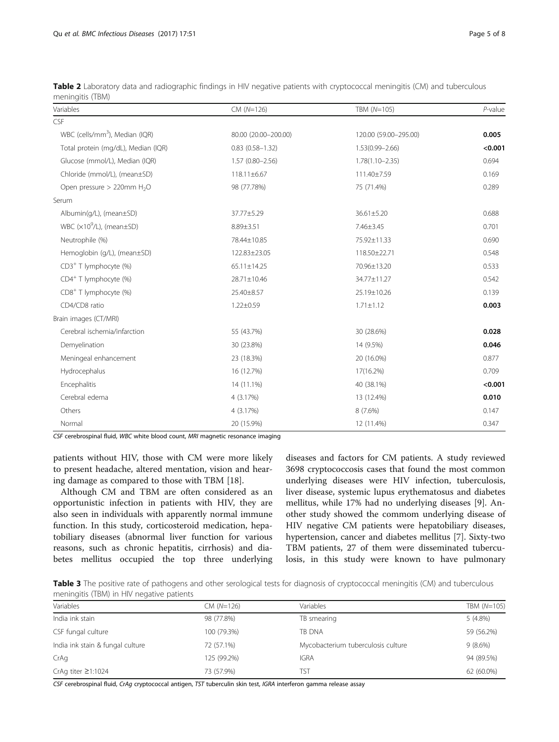| Variables                                  | $CM (N=126)$           | TBM (N=105)           | $P$ -value |
|--------------------------------------------|------------------------|-----------------------|------------|
| CSF                                        |                        |                       |            |
| WBC (cells/mm <sup>3</sup> ), Median (IQR) | 80.00 (20.00-200.00)   | 120.00 (59.00-295.00) | 0.005      |
| Total protein (mg/dL), Median (IQR)        | $0.83$ $(0.58 - 1.32)$ | $1.53(0.99 - 2.66)$   | < 0.001    |
| Glucose (mmol/L), Median (IQR)             | $1.57(0.80 - 2.56)$    | $1.78(1.10 - 2.35)$   | 0.694      |
| Chloride (mmol/L), (mean±SD)               | 118.11±6.67            | 111.40±7.59           | 0.169      |
| Open pressure > 220mm H <sub>2</sub> O     | 98 (77.78%)            | 75 (71.4%)            | 0.289      |
| Serum                                      |                        |                       |            |
| Albumin(g/L), (mean±SD)                    | 37.77±5.29             | 36.61±5.20            | 0.688      |
| WBC $(x10^9/L)$ , (mean $\pm$ SD)          | 8.89±3.51              | 7.46±3.45             | 0.701      |
| Neutrophile (%)                            | 78.44±10.85            | 75.92±11.33           | 0.690      |
| Hemoglobin (g/L), (mean±SD)                | 122.83±23.05           | 118.50±22.71          | 0.548      |
| $CD3+$ T lymphocyte (%)                    | $65.11 \pm 14.25$      | 70.96±13.20           | 0.533      |
| CD4 <sup>+</sup> T lymphocyte (%)          | 28.71±10.46            | 34.77±11.27           | 0.542      |
| CD8 <sup>+</sup> T lymphocyte (%)          | 25.40±8.57             | 25.19±10.26           | 0.139      |
| CD4/CD8 ratio                              | $1.22 \pm 0.59$        | $1.71 \pm 1.12$       | 0.003      |
| Brain images (CT/MRI)                      |                        |                       |            |
| Cerebral ischemia/infarction               | 55 (43.7%)             | 30 (28.6%)            | 0.028      |
| Demyelination                              | 30 (23.8%)             | 14 (9.5%)             | 0.046      |
| Meningeal enhancement                      | 23 (18.3%)             | 20 (16.0%)            | 0.877      |
| Hydrocephalus                              | 16 (12.7%)             | 17(16.2%)             | 0.709      |
| Encephalitis                               | 14 (11.1%)             | 40 (38.1%)            | < 0.001    |
| Cerebral edema                             | 4 (3.17%)              | 13 (12.4%)            | 0.010      |
| Others                                     | 4 (3.17%)              | $8(7.6\%)$            | 0.147      |
| Normal                                     | 20 (15.9%)             | 12 (11.4%)            | 0.347      |

<span id="page-4-0"></span>Table 2 Laboratory data and radiographic findings in HIV negative patients with cryptococcal meningitis (CM) and tuberculous meningitis (TBM)

CSF cerebrospinal fluid, WBC white blood count, MRI magnetic resonance imaging

patients without HIV, those with CM were more likely to present headache, altered mentation, vision and hearing damage as compared to those with TBM [[18\]](#page-7-0).

Although CM and TBM are often considered as an opportunistic infection in patients with HIV, they are also seen in individuals with apparently normal immune function. In this study, corticosteroid medication, hepatobiliary diseases (abnormal liver function for various reasons, such as chronic hepatitis, cirrhosis) and diabetes mellitus occupied the top three underlying diseases and factors for CM patients. A study reviewed 3698 cryptococcosis cases that found the most common underlying diseases were HIV infection, tuberculosis, liver disease, systemic lupus erythematosus and diabetes mellitus, while 17% had no underlying diseases [[9\]](#page-7-0). Another study showed the commom underlying disease of HIV negative CM patients were hepatobiliary diseases, hypertension, cancer and diabetes mellitus [\[7](#page-7-0)]. Sixty-two TBM patients, 27 of them were disseminated tuberculosis, in this study were known to have pulmonary

Table 3 The positive rate of pathogens and other serological tests for diagnosis of cryptococcal meningitis (CM) and tuberculous meningitis (TBM) in HIV negative patients

| Variables                        | $CM (N=126)$ | Variables                          | TBM (N=105) |
|----------------------------------|--------------|------------------------------------|-------------|
| India ink stain                  | 98 (77.8%)   | TB smearing                        | $5(4.8\%)$  |
| CSF fungal culture               | 100 (79.3%)  | <b>TB DNA</b>                      | 59 (56.2%)  |
| India ink stain & fungal culture | 72 (57.1%)   | Mycobacterium tuberculosis culture | $9(8.6\%)$  |
| CrAq                             | 125 (99.2%)  | <b>IGRA</b>                        | 94 (89.5%)  |
| CrAq titer $\geq$ 1:1024         | 73 (57.9%)   | TST                                | 62 (60.0%)  |

CSF cerebrospinal fluid, CrAg cryptococcal antigen, TST tuberculin skin test, IGRA interferon gamma release assay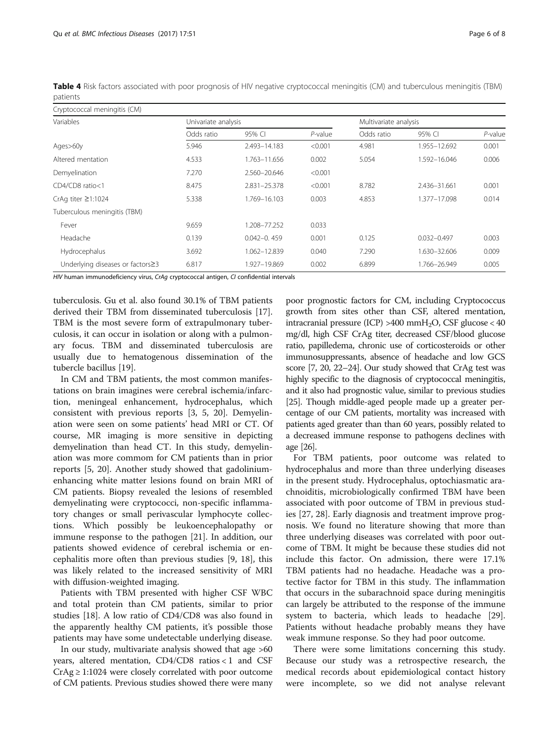<span id="page-5-0"></span>Table 4 Risk factors associated with poor prognosis of HIV negative cryptococcal meningitis (CM) and tuberculous meningitis (TBM) patients

| Cryptococcal meningitis (CM)     |            |                     |            |            |                       |         |  |
|----------------------------------|------------|---------------------|------------|------------|-----------------------|---------|--|
| Variables                        |            | Univariate analysis |            |            | Multivariate analysis |         |  |
|                                  | Odds ratio | 95% CI              | $P$ -value | Odds ratio | 95% CI                | P-value |  |
| Ages>60y                         | 5.946      | 2.493-14.183        | < 0.001    | 4.981      | 1.955-12.692          | 0.001   |  |
| Altered mentation                | 4.533      | 1.763-11.656        | 0.002      | 5.054      | 1.592-16.046          | 0.006   |  |
| Demyelination                    | 7.270      | 2.560-20.646        | < 0.001    |            |                       |         |  |
| CD4/CD8 ratio<1                  | 8.475      | 2.831-25.378        | < 0.001    | 8.782      | 2.436-31.661          | 0.001   |  |
| CrAq titer ≥1:1024               | 5.338      | 1.769–16.103        | 0.003      | 4.853      | 1.377-17.098          | 0.014   |  |
| Tuberculous meningitis (TBM)     |            |                     |            |            |                       |         |  |
| Fever                            | 9.659      | 1.208-77.252        | 0.033      |            |                       |         |  |
| Headache                         | 0.139      | $0.042 - 0.459$     | 0.001      | 0.125      | $0.032 - 0.497$       | 0.003   |  |
| Hydrocephalus                    | 3.692      | 1.062-12.839        | 0.040      | 7.290      | 1.630-32.606          | 0.009   |  |
| Underlying diseases or factors≥3 | 6.817      | 1.927-19.869        | 0.002      | 6.899      | 1.766-26.949          | 0.005   |  |

HIV human immunodeficiency virus, CrAg cryptococcal antigen, CI confidential intervals

tuberculosis. Gu et al. also found 30.1% of TBM patients derived their TBM from disseminated tuberculosis [\[17](#page-7-0)]. TBM is the most severe form of extrapulmonary tuberculosis, it can occur in isolation or along with a pulmonary focus. TBM and disseminated tuberculosis are usually due to hematogenous dissemination of the tubercle bacillus [\[19](#page-7-0)].

In CM and TBM patients, the most common manifestations on brain imagines were cerebral ischemia/infarction, meningeal enhancement, hydrocephalus, which consistent with previous reports [\[3](#page-7-0), [5](#page-7-0), [20](#page-7-0)]. Demyelination were seen on some patients' head MRI or CT. Of course, MR imaging is more sensitive in depicting demyelination than head CT. In this study, demyelination was more commom for CM patients than in prior reports [[5, 20\]](#page-7-0). Another study showed that gadoliniumenhancing white matter lesions found on brain MRI of CM patients. Biopsy revealed the lesions of resembled demyelinating were cryptococci, non-specific inflammatory changes or small perivascular lymphocyte collections. Which possibly be leukoencephalopathy or immune response to the pathogen [\[21](#page-7-0)]. In addition, our patients showed evidence of cerebral ischemia or encephalitis more often than previous studies [[9](#page-7-0), [18](#page-7-0)], this was likely related to the increased sensitivity of MRI with diffusion-weighted imaging.

Patients with TBM presented with higher CSF WBC and total protein than CM patients, similar to prior studies [[18](#page-7-0)]. A low ratio of CD4/CD8 was also found in the apparently healthy CM patients, it's possible those patients may have some undetectable underlying disease.

In our study, multivariate analysis showed that age >60 years, altered mentation, CD4/CD8 ratios < 1 and CSF  $CrAg \geq 1:1024$  were closely correlated with poor outcome of CM patients. Previous studies showed there were many

poor prognostic factors for CM, including Cryptococcus growth from sites other than CSF, altered mentation, intracranial pressure (ICP)  $>400$  mmH<sub>2</sub>O, CSF glucose < 40 mg/dl, high CSF CrAg titer, decreased CSF/blood glucose ratio, papilledema, chronic use of corticosteroids or other immunosuppressants, absence of headache and low GCS score [\[7, 20](#page-7-0), [22](#page-7-0)–[24](#page-7-0)]. Our study showed that CrAg test was highly specific to the diagnosis of cryptococcal meningitis, and it also had prognostic value, similar to previous studies [[25](#page-7-0)]. Though middle-aged people made up a greater percentage of our CM patients, mortality was increased with patients aged greater than than 60 years, possibly related to a decreased immune response to pathogens declines with age [\[26\]](#page-7-0).

For TBM patients, poor outcome was related to hydrocephalus and more than three underlying diseases in the present study. Hydrocephalus, optochiasmatic arachnoiditis, microbiologically confirmed TBM have been associated with poor outcome of TBM in previous studies [[27](#page-7-0), [28](#page-7-0)]. Early diagnosis and treatment improve prognosis. We found no literature showing that more than three underlying diseases was correlated with poor outcome of TBM. It might be because these studies did not include this factor. On admission, there were 17.1% TBM patients had no headache. Headache was a protective factor for TBM in this study. The inflammation that occurs in the subarachnoid space during meningitis can largely be attributed to the response of the immune system to bacteria, which leads to headache [\[29](#page-7-0)]. Patients without headache probably means they have weak immune response. So they had poor outcome.

There were some limitations concerning this study. Because our study was a retrospective research, the medical records about epidemiological contact history were incomplete, so we did not analyse relevant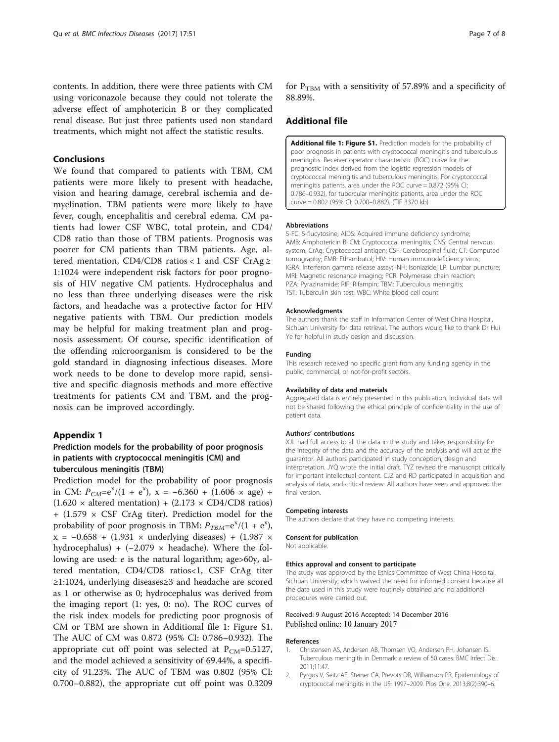<span id="page-6-0"></span>contents. In addition, there were three patients with CM using voriconazole because they could not tolerate the adverse effect of amphotericin B or they complicated renal disease. But just three patients used non standard treatments, which might not affect the statistic results.

### Conclusions

We found that compared to patients with TBM, CM patients were more likely to present with headache, vision and hearing damage, cerebral ischemia and demyelination. TBM patients were more likely to have fever, cough, encephalitis and cerebral edema. CM patients had lower CSF WBC, total protein, and CD4/ CD8 ratio than those of TBM patients. Prognosis was poorer for CM patients than TBM patients. Age, altered mentation, CD4/CD8 ratios < 1 and CSF CrAg  $\ge$ 1:1024 were independent risk factors for poor prognosis of HIV negative CM patients. Hydrocephalus and no less than three underlying diseases were the risk factors, and headache was a protective factor for HIV negative patients with TBM. Our prediction models may be helpful for making treatment plan and prognosis assessment. Of course, specific identification of the offending microorganism is considered to be the gold standard in diagnosing infectious diseases. More work needs to be done to develop more rapid, sensitive and specific diagnosis methods and more effective treatments for patients CM and TBM, and the prognosis can be improved accordingly.

#### Appendix 1

## Prediction models for the probability of poor prognosis in patients with cryptococcal meningitis (CM) and tuberculous meningitis (TBM)

Prediction model for the probability of poor prognosis in CM:  $P_{CM} = e^{x}/(1 + e^{x})$ ,  $x = -6.360 + (1.606 \times age) + (1.620 \times altered mention) + (2.173 \times CDA/CDB ratio)$  $(1.620 \times \text{altered mention}) + (2.173 \times CD4/CD8 \text{ ratios})$  $+$  (1.579  $\times$  CSF CrAg titer). Prediction model for the probability of poor prognosis in TBM:  $P_{TBM} = e^{x}/(1 + e^{x})$ ,<br> $x = -0.658 + (1.931 \times \text{underlying disease}) + (1.987 \times \text{underlying disease})$ x = −0.658 + (1.931 × underlying diseases) + (1.987 × hydrocephalus) +  $(-2.079 \times \text{headache})$ . Where the following are used: e is the natural logarithm; age>60y, altered mentation, CD4/CD8 ratios<1, CSF CrAg titer ≥1:1024, underlying diseases≥3 and headache are scored as 1 or otherwise as 0; hydrocephalus was derived from the imaging report (1: yes, 0: no). The ROC curves of the risk index models for predicting poor prognosis of CM or TBM are shown in Additional file 1: Figure S1. The AUC of CM was 0.872 (95% CI: 0.786–0.932). The appropriate cut off point was selected at  $P_{CM}=0.5127$ , and the model achieved a sensitivity of 69.44%, a specificity of 91.23%. The AUC of TBM was 0.802 (95% CI: 0.700–0.882), the appropriate cut off point was 0.3209

for  $P_{TRM}$  with a sensitivity of 57.89% and a specificity of 88.89%.

#### Additional file

[Additional file 1: Figure S1.](dx.doi.org/10.1186/s12879-016-2126-6) Prediction models for the probability of poor prognosis in patients with cryptococcal meningitis and tuberculous meningitis. Receiver operator characteristic (ROC) curve for the prognostic index derived from the logistic regression models of cryptococcal meningitis and tuberculous meningitis. For cryptococcal meningitis patients, area under the ROC curve = 0.872 (95% CI: 0.786–0.932), for tubercular meningitis patients, area under the ROC curve = 0.802 (95% CI: 0.700–0.882). (TIF 3370 kb)

#### Abbreviations

5-FC: 5-flucytosine; AIDS: Acquired immune deficiency syndrome; AMB: Amphotericin B; CM: Cryptococcal meningitis; CNS: Central nervous system; CrAg: Cryptococcal antigen; CSF: Cerebrospinal fluid; CT: Computed tomography; EMB: Ethambutol; HIV: Human immunodeficiency virus; IGRA: Interferon gamma release assay; INH: Isoniazide; LP: Lumbar puncture; MRI: Magnetic resonance imaging; PCR: Polymerase chain reaction; PZA: Pyrazinamide; RIF: Rifampin; TBM: Tuberculous meningitis; TST: Tuberculin skin test; WBC: White blood cell count

#### Acknowledgments

The authors thank the staff in Information Center of West China Hospital, Sichuan University for data retrieval. The authors would like to thank Dr Hui Ye for helpful in study design and discussion.

#### Funding

This research received no specific grant from any funding agency in the public, commercial, or not-for-profit sectors.

#### Availability of data and materials

Aggregated data is entirely presented in this publication. Individual data will not be shared following the ethical principle of confidentiality in the use of patient data.

#### Authors' contributions

XJL had full access to all the data in the study and takes responsibility for the integrity of the data and the accuracy of the analysis and will act as the guarantor. All authors participated in study conception, design and interpretation. JYQ wrote the initial draft. TYZ revised the manuscript critically for important intellectual content. CJZ and RD participated in acquisition and analysis of data, and critical review. All authors have seen and approved the final version.

#### Competing interests

The authors declare that they have no competing interests.

#### Consent for publication

Not applicable.

#### Ethics approval and consent to participate

The study was approved by the Ethics Committee of West China Hospital, Sichuan University, which waived the need for informed consent because all the data used in this study were routinely obtained and no additional procedures were carried out.

#### Received: 9 August 2016 Accepted: 14 December 2016 Published online: 10 January 2017

#### References

- 1. Christensen AS, Andersen AB, Thomsen VO, Andersen PH, Johansen IS. Tuberculous meningitis in Denmark: a review of 50 cases. BMC Infect Dis. 2011;11:47.
- 2. Pyrgos V, Seitz AE, Steiner CA, Prevots DR, Williamson PR. Epidemiology of cryptococcal meningitis in the US: 1997–2009. Plos One. 2013;8(2):390–6.